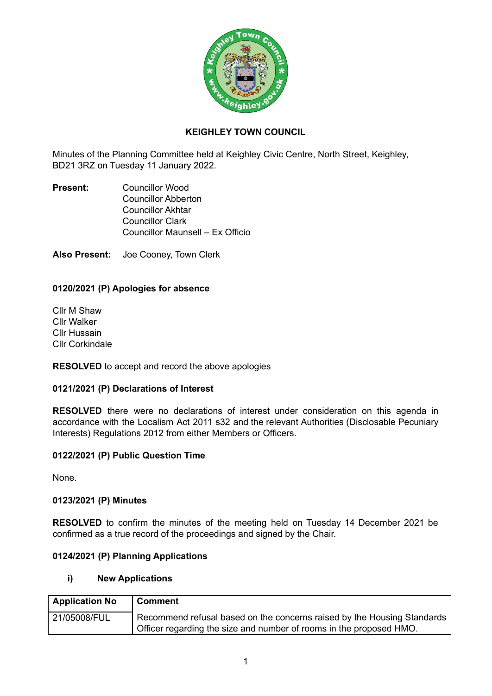

# **KEIGHLEY TOWN COUNCIL**

Minutes of the Planning Committee held at Keighley Civic Centre, North Street, Keighley, BD21 3RZ on Tuesday 11 January 2022.

**Present:** Councillor Wood Councillor Abberton Councillor Akhtar Councillor Clark Councillor Maunsell – Ex Officio

**Also Present:** Joe Cooney, Town Clerk

# **0120/2021 (P) Apologies for absence**

Cllr M Shaw Cllr Walker Cllr Hussain Cllr Corkindale

**RESOLVED** to accept and record the above apologies

### **0121/2021 (P) Declarations of Interest**

**RESOLVED** there were no declarations of interest under consideration on this agenda in accordance with the Localism Act 2011 s32 and the relevant Authorities (Disclosable Pecuniary Interests) Regulations 2012 from either Members or Officers.

### **0122/2021 (P) Public Question Time**

None.

### **0123/2021 (P) Minutes**

**RESOLVED** to confirm the minutes of the meeting held on Tuesday 14 December 2021 be confirmed as a true record of the proceedings and signed by the Chair.

# **0124/2021 (P) Planning Applications**

### **i) New Applications**

| <b>Application No</b> | <b>Comment</b>                                                                                                                                 |
|-----------------------|------------------------------------------------------------------------------------------------------------------------------------------------|
| 21/05008/FUL          | Recommend refusal based on the concerns raised by the Housing Standards<br>Officer regarding the size and number of rooms in the proposed HMO. |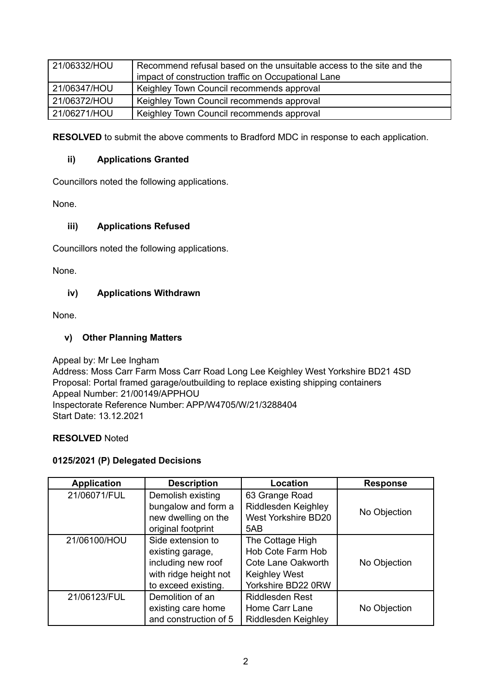| 21/06332/HOU | Recommend refusal based on the unsuitable access to the site and the<br>impact of construction traffic on Occupational Lane |
|--------------|-----------------------------------------------------------------------------------------------------------------------------|
| 21/06347/HOU | Keighley Town Council recommends approval                                                                                   |
| 21/06372/HOU | Keighley Town Council recommends approval                                                                                   |
| 21/06271/HOU | Keighley Town Council recommends approval                                                                                   |

**RESOLVED** to submit the above comments to Bradford MDC in response to each application.

## **ii) Applications Granted**

Councillors noted the following applications.

None.

## **iii) Applications Refused**

Councillors noted the following applications.

None.

## **iv) Applications Withdrawn**

None.

## **v) Other Planning Matters**

Appeal by: Mr Lee Ingham Address: Moss Carr Farm Moss Carr Road Long Lee Keighley West Yorkshire BD21 4SD Proposal: Portal framed garage/outbuilding to replace existing shipping containers Appeal Number: 21/00149/APPHOU Inspectorate Reference Number: APP/W4705/W/21/3288404 Start Date: 13.12.2021

### **RESOLVED** Noted

### **0125/2021 (P) Delegated Decisions**

| <b>Application</b> | <b>Description</b>    | Location                   | <b>Response</b> |
|--------------------|-----------------------|----------------------------|-----------------|
| 21/06071/FUL       | Demolish existing     | 63 Grange Road             |                 |
|                    | bungalow and form a   | Riddlesden Keighley        |                 |
|                    | new dwelling on the   | <b>West Yorkshire BD20</b> | No Objection    |
|                    | original footprint    | 5AB                        |                 |
| 21/06100/HOU       | Side extension to     | The Cottage High           |                 |
|                    | existing garage,      | Hob Cote Farm Hob          |                 |
|                    | including new roof    | Cote Lane Oakworth         | No Objection    |
|                    | with ridge height not | <b>Keighley West</b>       |                 |
|                    | to exceed existing.   | Yorkshire BD22 0RW         |                 |
| 21/06123/FUL       | Demolition of an      | <b>Riddlesden Rest</b>     |                 |
|                    | existing care home    | Home Carr Lane             | No Objection    |
|                    | and construction of 5 | Riddlesden Keighley        |                 |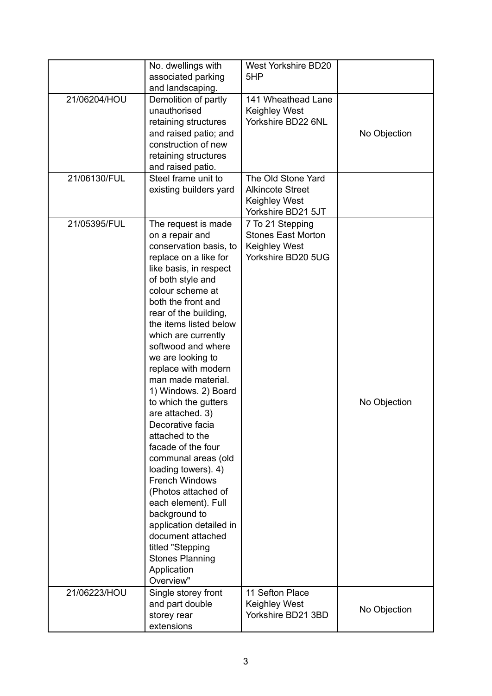|              | No. dwellings with                           | West Yorkshire BD20                           |              |
|--------------|----------------------------------------------|-----------------------------------------------|--------------|
|              | associated parking                           | 5HP                                           |              |
|              | and landscaping.                             |                                               |              |
| 21/06204/HOU | Demolition of partly                         | 141 Wheathead Lane                            |              |
|              | unauthorised                                 | <b>Keighley West</b>                          |              |
|              | retaining structures                         | Yorkshire BD22 6NL                            |              |
|              | and raised patio; and                        |                                               | No Objection |
|              | construction of new                          |                                               |              |
|              | retaining structures                         |                                               |              |
|              | and raised patio.                            |                                               |              |
| 21/06130/FUL | Steel frame unit to                          | The Old Stone Yard                            |              |
|              | existing builders yard                       | <b>Alkincote Street</b>                       |              |
|              |                                              | <b>Keighley West</b><br>Yorkshire BD21 5JT    |              |
| 21/05395/FUL |                                              |                                               |              |
|              | The request is made<br>on a repair and       | 7 To 21 Stepping<br><b>Stones East Morton</b> |              |
|              | conservation basis, to                       | Keighley West                                 |              |
|              | replace on a like for                        | Yorkshire BD20 5UG                            |              |
|              | like basis, in respect                       |                                               |              |
|              | of both style and                            |                                               |              |
|              | colour scheme at                             |                                               |              |
|              | both the front and                           |                                               |              |
|              | rear of the building,                        |                                               |              |
|              | the items listed below                       |                                               |              |
|              | which are currently                          |                                               |              |
|              | softwood and where                           |                                               |              |
|              | we are looking to                            |                                               |              |
|              | replace with modern                          |                                               |              |
|              | man made material.                           |                                               |              |
|              | 1) Windows. 2) Board                         |                                               |              |
|              | to which the gutters                         |                                               | No Objection |
|              | are attached. 3)                             |                                               |              |
|              | Decorative facia                             |                                               |              |
|              | attached to the                              |                                               |              |
|              | facade of the four                           |                                               |              |
|              | communal areas (old                          |                                               |              |
|              | loading towers). 4)<br><b>French Windows</b> |                                               |              |
|              | (Photos attached of                          |                                               |              |
|              | each element). Full                          |                                               |              |
|              | background to                                |                                               |              |
|              | application detailed in                      |                                               |              |
|              | document attached                            |                                               |              |
|              | titled "Stepping                             |                                               |              |
|              | <b>Stones Planning</b>                       |                                               |              |
|              | Application                                  |                                               |              |
|              | Overview"                                    |                                               |              |
| 21/06223/HOU | Single storey front                          | 11 Sefton Place                               |              |
|              | and part double                              | <b>Keighley West</b>                          | No Objection |
|              | storey rear                                  | Yorkshire BD21 3BD                            |              |
|              | extensions                                   |                                               |              |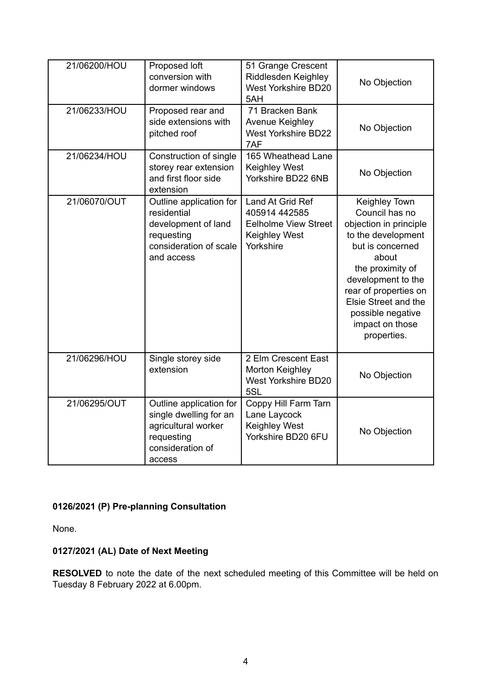| 21/06200/HOU | Proposed loft<br>conversion with<br>dormer windows                                                                   | 51 Grange Crescent<br>Riddlesden Keighley<br><b>West Yorkshire BD20</b><br>5AH                        | No Objection                                                                                                                                                                                                                                                   |
|--------------|----------------------------------------------------------------------------------------------------------------------|-------------------------------------------------------------------------------------------------------|----------------------------------------------------------------------------------------------------------------------------------------------------------------------------------------------------------------------------------------------------------------|
| 21/06233/HOU | Proposed rear and<br>side extensions with<br>pitched roof                                                            | 71 Bracken Bank<br>Avenue Keighley<br><b>West Yorkshire BD22</b><br>7AF                               | No Objection                                                                                                                                                                                                                                                   |
| 21/06234/HOU | Construction of single<br>storey rear extension<br>and first floor side<br>extension                                 | 165 Wheathead Lane<br>Keighley West<br>Yorkshire BD22 6NB                                             | No Objection                                                                                                                                                                                                                                                   |
| 21/06070/OUT | Outline application for<br>residential<br>development of land<br>requesting<br>consideration of scale<br>and access  | Land At Grid Ref<br>405914 442585<br><b>Eelholme View Street</b><br><b>Keighley West</b><br>Yorkshire | Keighley Town<br>Council has no<br>objection in principle<br>to the development<br>but is concerned<br>about<br>the proximity of<br>development to the<br>rear of properties on<br>Elsie Street and the<br>possible negative<br>impact on those<br>properties. |
| 21/06296/HOU | Single storey side<br>extension                                                                                      | 2 Elm Crescent East<br>Morton Keighley<br><b>West Yorkshire BD20</b><br>5SL                           | No Objection                                                                                                                                                                                                                                                   |
| 21/06295/OUT | Outline application for<br>single dwelling for an<br>agricultural worker<br>requesting<br>consideration of<br>access | Coppy Hill Farm Tarn<br>Lane Laycock<br><b>Keighley West</b><br>Yorkshire BD20 6FU                    | No Objection                                                                                                                                                                                                                                                   |

# **0126/2021 (P) Pre-planning Consultation**

None.

# **0127/2021 (AL) Date of Next Meeting**

**RESOLVED** to note the date of the next scheduled meeting of this Committee will be held on Tuesday 8 February 2022 at 6.00pm.